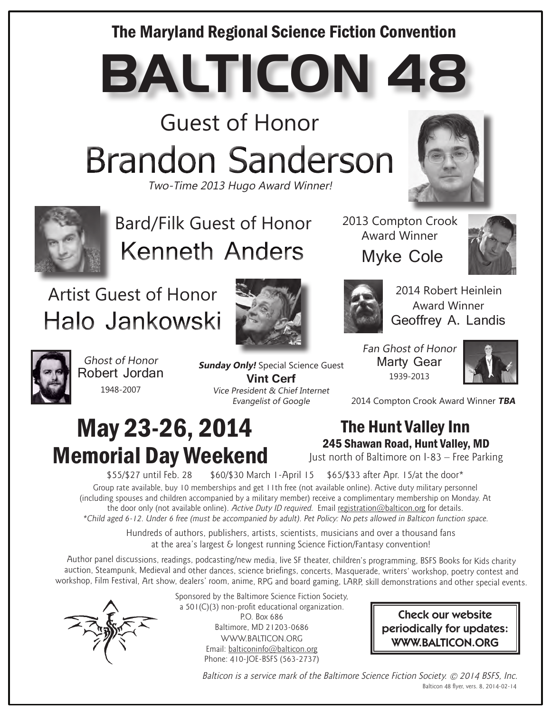### The Maryland Regional Science Fiction Convention

**BALTICON 48**

Guest of Honor **Brandon Sanderson** 

Two-Time 2013 Hugo Award Winner!





Bard/Filk Guest of Honor **Kenneth Anders** 

## Artist Guest of Honor Halo Jankowski



2013 Compton Crook Award Winner Myke Cole





2014 Robert Heinlein Award Winner Geoffrey A. Landis

Ghost of Honor Robert Jordan 1948-2007

**Sunday Only!** Special Science Guest **Vint Cerf** Vice President & Chief Internet

Evangelist of Google

Fan Ghost of Honor Marty Gear 1939-2013



2014 Compton Crook Award Winner **TBA**

# May 23-26, 2014 Memorial Day Weekend

The Hunt Valley Inn 245 Shawan Road, Hunt Valley, MD

Just north of Baltimore on I-83 – Free Parking

\$55/\$27 until Feb. 28 \$60/\$30 March 1-April 15 \$65/\$33 after Apr. 15/at the door\*

Group rate available, buy 10 memberships and get 11th free (not available online). Active duty military personnel (including spouses and children accompanied by a military member) receive a complimentary membership on Monday. At the door only (not available online). Active Duty ID required. Email registration@balticon.org for details. \*Child aged 6-12. Under 6 free (must be accompanied by adult). Pet Policy: No pets allowed in Balticon function space.

> Hundreds of authors, publishers, artists, scientists, musicians and over a thousand fans at the area's largest & longest running Science Fiction/Fantasy convention!

Author panel discussions, readings, podcasting/new media, live SF theater, children's programming, BSFS Books for Kids charity auction, Steampunk, Medieval and other dances, science briefings, concerts, Masquerade, writers' workshop, poetry contest and workshop, Film Festival, Art show, dealers' room, anime, RPG and board gaming, LARP, skill demonstrations and other special events.



Sponsored by the Baltimore Science Fiction Society, a 501(C)(3) non-profit educational organization. P.O. Box 686 Baltimore, MD 21203-0686 WWW.BALTICON.ORG Email: balticoninfo@balticon.org Phone: 410-JOE-BSFS (563-2737)

Check our website periodically for updates: WWW.BALTICON.ORG

Balticon is a service mark of the Baltimore Science Fiction Society. © 2014 BSFS, Inc. Balticon 48 flyer, vers. 8, 2014-02-14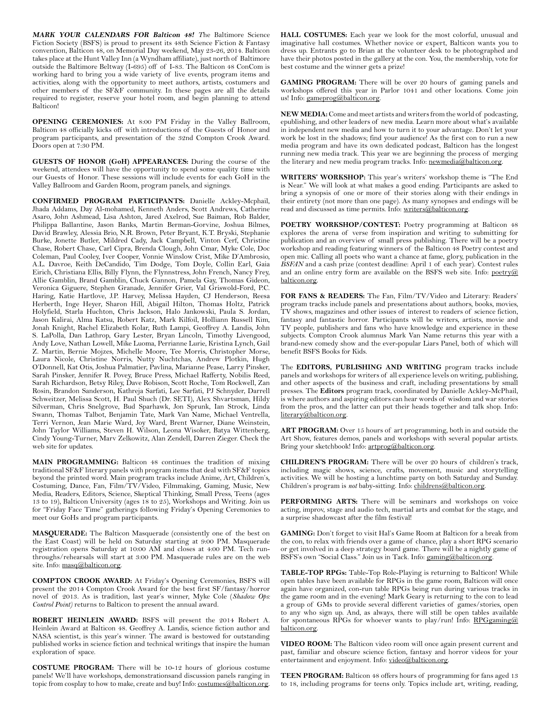**MARK YOUR CALENDARS FOR Balticon 48!** *T*he Baltimore Science Fiction Society (BSFS) is proud to present its 48th Science Fiction & Fantasy convention, Balticon 48, on Memorial Day weekend, May 23-26, 2014. Balticon takes place at the Hunt Valley Inn (a Wyndham affiliate), just north of Baltimore outside the Baltimore Beltway (I-695) off of I-83. The Balticon 48 ConCom is working hard to bring you a wide variety of live events, program items and activities, along with the opportunity to meet authors, artists, costumers and other members of the SF&F community. In these pages are all the details required to register, reserve your hotel room, and begin planning to attend Balticon!

**OPENING CEREMONIES:** At 8:00 PM Friday in the Valley Ballroom, Balticon 48 officially kicks off with introductions of the Guests of Honor and program participants, and presentation of the 32nd Compton Crook Award. Doors open at 7:30 PM.

**GUESTS OF HONOR (GoH) APPEARANCES:** During the course of the weekend, attendees will have the opportunity to spend some quality time with our Guests of Honor. These sessions will include events for each GoH in the Valley Ballroom and Garden Room, program panels, and signings.

**CONFIRMED PROGRAM PARTICIPANTS:** Danielle Ackley-Mcphail, Jhada Addams, Day Al-mohamed, Kenneth Anders, Scott Andrews, Catherine Asaro, John Ashmead, Lisa Ashton, Jared Axelrod, Sue Baiman, Rob Balder, Philippa Ballantine, Jason Banks, Martin Berman-Gorvine, Joshua Bilmes, David Brawley, Alessia Brio, N.R. Brown, Peter Bryant, K.T. Bryski, Stephanie Burke, Jonette Butler, Mildred Cady, Jack Campbell, Vinton Cerf, Christine Chase, Robert Chase, Carl Cipra, Brenda Clough, John Cmar, Myke Cole, Doc Coleman, Paul Cooley, Iver Cooper, Vonnie Winslow Crist, Mike D'Ambrosio, A.L. Davroe, Keith DeCandido, Tim Dodge, Tom Doyle, Collin Earl, Gaia Eirich, Christiana Ellis, Billy Flynn, the Flynnstress, John French, Nancy Frey, Allie Gamblin, Brand Gamblin, Chuck Gannon, Pamela Gay, Thomas Gideon, Veronica Giguere, Stephen Granade, Jennifer Grier, Val Griswold-Ford, P.C. Haring, Katie Hartlove, J.P. Harvey, Melissa Hayden, CJ Henderson, Reesa Herberth, Inge Heyer, Sharon Hill, Abigail Hilton, Thomas Holtz, Patrick Holyfield, Starla Huchton, Chris Jackson, Halo Jankowski, Paula S. Jordan, Jason Kalirai, Alma Katsu, Robert Katz, Mark Kilfoil, Holliann Russell Kim, Jonah Knight, Rachel Elizabeth Kolar, Ruth Lampi, Geoffrey A. Landis, John S. LaPolla, Dan Lathrop, Gary Lester, Bryan Lincoln, Timothy Livengood, Andy Love, Nathan Lowell, Mike Luoma, Perrianne Lurie, Kristina Lynch, Gail Z. Martin, Bernie Mojzes, Michelle Moore, Tee Morris, Christopher Morse, Laura Nicole, Christine Norris, Nutty Nuchtchas, Andrew Plotkin, Hugh O'Donnell, Kat Otis, Joshua Palmatier, Pavlina, Marianne Pease, Larry Pinsker, Sarah Pinsker, Jennifer R. Povey, Bruce Press, Michael Rafferty, Nobilis Reed, Sarah Richardson, Betsy Riley, Dave Robison, Scott Roche, Tom Rockwell, Zan Rosin, Brandon Sanderson, Kathreja Sarfati, Lee Sarfati, PJ Schnyder, Darrell Schweitzer, Melissa Scott, H. Paul Shuch (Dr. SETI), Alex Shvartsman, Hildy Silverman, Chris Snelgrove, Bud Sparhawk, Jon Sprunk, Ian Strock, Linda Swann, Thomas Talbot, Benjamin Tate, Mark Van Name, Michael Ventrella, Terri Vernon, Jean Marie Ward, Joy Ward, Brent Warner, Diane Weinstein, John Taylor Williams, Steven H. Wilson, Leona Wisoker, Batya Wittenberg, Cindy Young-Turner, Marv Zelkowitz, Alan Zendell, Darren Zieger. Check the web site for updates.

**MAIN PROGRAMMING:** Balticon 48 continues the tradition of mixing traditional SF&F literary panels with program items that deal with SF&F topics beyond the printed word. Main program tracks include Anime, Art, Children's, Costuming, Dance, Fan, Film/TV/Video, Filmmaking, Gaming, Music, New Media, Readers, Editors, Science, Skeptical Thinking, Small Press, Teens (ages 13 to 19), Balticon University (ages 18 to 25), Workshops and Writing. Join us for "Friday Face Time" gatherings following Friday's Opening Ceremonies to meet our GoHs and program participants.

**MASQUERADE:** The Balticon Masquerade (consistently one of the best on the East Coast) will be held on Saturday starting at 9:00 PM. Masquerade registration opens Saturday at 10:00 AM and closes at 4:00 PM. Tech runthroughs/rehearsals will start at 3:00 PM. Masquerade rules are on the web site. Info: masq@balticon.org.

**COMPTON CROOK AWARD:** At Friday's Opening Ceremonies, BSFS will present the 2014 Compton Crook Award for the best first SF/fantasy/horror novel of 2013. As is tradition, last year's winner, Myke Cole (*Shadow Ops: Control Point)* returns to Balticon to present the annual award.

**ROBERT HEINLEIN AWARD:** BSFS will present the 2014 Robert A. Heinlein Award at Balticon 48. Geoffrey A. Landis, science fiction author and NASA scientist, is this year's winner. The award is bestowed for outstanding published works in science fiction and technical writings that inspire the human exploration of space.

**COSTUME PROGRAM:** There will be 10-12 hours of glorious costume panels! We'll have workshops, demonstrationsand discussion panels ranging in topic from cosplay to how to make, create and buy! Info: costumes@balticon.org. **HALL COSTUMES:** Each year we look for the most colorful, unusual and imaginative hall costumes. Whether novice or expert, Balticon wants you to dress up. Entrants go to Brian at the volunteer desk to be photographed and have their photos posted in the gallery at the con. You, the membership, vote for best costume and the winner gets a prize!

**GAMING PROGRAM:** There will be over 20 hours of gaming panels and workshops offered this year in Parlor 1041 and other locations. Come join us! Info: gameprog@balticon.org.

**NEW MEDIA:** Come and meet artists and writers from the world of podcasting, epublishing, and other leaders of new media. Learn more about what's available in independent new media and how to turn it to your advantage. Don't let your work be lost in the shadows; find your audience! As the first con to run a new media program and have its own dedicated podcast, Balticon has the longest running new media track. This year we are beginning the process of merging the literary and new media program tracks. Info: newmedia@balticon.org.

**WRITERS' WORKSHOP:** This year's writers' workshop theme is "The End is Near." We will look at what makes a good ending. Participants are asked to bring a synopsis of one or more of their stories along with their endings in their entirety (not more than one page). As many synopses and endings will be read and discussed as time permits. Info: writers@balticon.org.

**POETRY WORKSHOP/CONTEST:** Poetry programming at Balticon 48 explores the arena of verse from inspiration and writing to submitting for publication and an overview of small press publishing. There will be a poetry workshop and reading featuring winners of the Balticon 48 Poetry contest and open mic. Calling all poets who want a chance at fame, glory, publication in the *BSFAN* and a cash prize (contest deadline: April 1 of each year). Contest rules and an online entry form are available on the BSFS web site. Info: poetry@ balticon.org.

**FOR FANS & READERS:** The Fan, Film/TV/Video and Literary: Readers' program tracks include panels and presentations about authors, books, movies, TV shows, magazines and other issues of interest to readers of science fiction, fantasy and fantastic horror. Participants will be writers, artists, movie and TV people, publishers and fans who have knowledge and experience in these subjects. Compton Crook alumnus Mark Van Name returns this year with a brand-new comedy show and the ever-popular Liars Panel, both of which will benefit BSFS Books for Kids.

The **EDITORS, PUBLISHING AND WRITING** program tracks include panels and workshops for writers of all experience levels on writing, publishing, and other aspects of the business and craft, including presentations by small presses. The **Editors** program track, coordinated by Danielle Ackley-McPhail, is where authors and aspiring editors can hear words of wisdom and war stories from the pros, and the latter can put their heads together and talk shop. Info: literary@balticon.org.

**ART PROGRAM:** Over 15 hours of art programming, both in and outside the Art Show, features demos, panels and workshops with several popular artists. Bring your sketchbook! Info: artprog@balticon.org.

**CHILDREN'S PROGRAM:** There will be over 20 hours of children's track, including magic shows, science, crafts, movement, music and storytelling activities. We will be hosting a lunchtime party on both Saturday and Sunday. Children's program is *not* baby-sitting. Info: childrens@balticon.org.

**PERFORMING ARTS:** There will be seminars and workshops on voice acting, improv, stage and audio tech, martial arts and combat for the stage, and a surprise shadowcast after the film festival!

**GAMING:** Don't forget to visit Hal's Game Room at Balticon for a break from the con, to relax with friends over a game of chance, play a short RPG scenario or get involved in a deep strategy board game. There will be a nightly game of BSFS's own "Social Class." Join us in Tack. Info: gaming@balticon.org.

**TABLE-TOP RPGs:** Table-Top Role-Playing is returning to Balticon! While open tables have been available for RPGs in the game room, Balticon will once again have organized, con-run table RPGs being run during various tracks in the game room and in the evening! Mark Geary is returning to the con to lead a group of GMs to provide several different varieties of games/stories, open to any who sign up. And, as always, there will still be open tables available for spontaneous RPGs for whoever wants to play/run! Info: RPGgaming@ balticon.org.

**VIDEO ROOM:** The Balticon video room will once again present current and past, familiar and obscure science fiction, fantasy and horror videos for your .<br>entertainment and enjoyment. Info: <u>video@balticon.org</u>.

**TEEN PROGRAM:** Balticon 48 offers hours of programming for fans aged 13 to 18, including programs for teens only. Topics include art, writing, reading,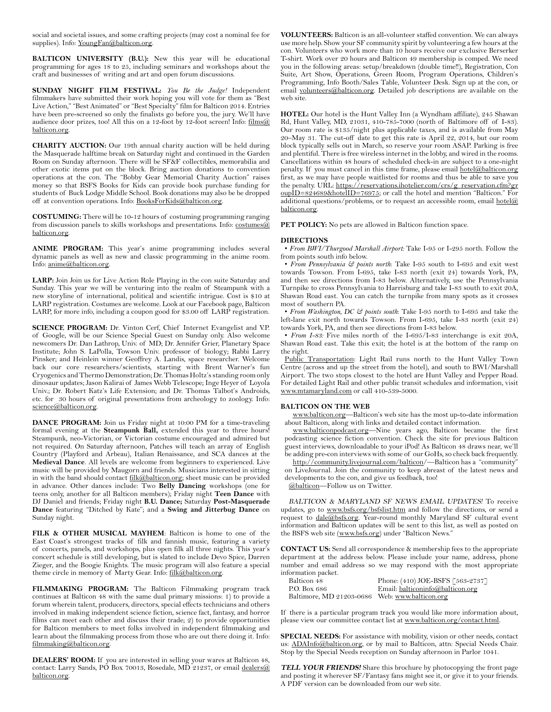social and societal issues, and some crafting projects (may cost a nominal fee for supplies). Info: YoungFan@balticon.org.

**BALTICON UNIVERSITY (B.U.):** New this year will be educational programming for ages 18 to 25, including seminars and workshops about the craft and businesses of writing and art and open forum discussions.

**SUNDAY NIGHT FILM FESTIVAL:** *You Be the Judge!* Independent filmmakers have submitted their work hoping you will vote for them as "Best Live Action," "Best Animated" or "Best Specialty" film for Balticon 2014. Entries have been pre-screened so only the finalists go before you, the jury. We'll have audience door prizes, too! All this on a 12-foot by 12-foot screen! Info: films@ balticon.org.

**CHARITY AUCTION:** Our 19th annual charity auction will be held during the Masquerade halftime break on Saturday night and continued in the Garden Room on Sunday afternoon. There will be SF&F collectibles, memorabilia and other exotic items put on the block. Bring auction donations to convention operations at the con. The "Bobby Gear Memorial Charity Auction" raises money so that BSFS Books for Kids can provide book purchase funding for students of Buck Lodge Middle School. Book donations may also be be dropped off at convention operations. Info: BooksForKids@balticon.org.

**COSTUMING:** There will be 10-12 hours of costuming programming ranging from discussion panels to skills workshops and presentations. Info: costumes@ balticon.org.

**ANIME PROGRAM:** This year's anime programming includes several dynamic panels as well as new and classic programming in the anime room. Info: anime@balticon.org.

**LARP:** Join Join us for Live Action Role Playing in the con suite Saturday and Sunday. This year we will be venturing into the realm of Steampunk with a new storyline of international, political and scientific intrigue. Cost is \$10 at LARP registration. Costumes are welcome. Look at our Facebook page, Balticon LARP, for more info, including a coupon good for \$3.00 off LARP registration.

**SCIENCE PROGRAM:** Dr. Vinton Cerf, Chief Internet Evangelist and V.P. of Google, will be our Science Special Guest on Sunday only. Also welcome newcomers Dr. Dan Lathrop, Univ. of MD; Dr. Jennifer Grier, Planetary Space Institute; John S. LaPolla, Towson Univ. professor of biology; Rabbi Larry Pinsker; and Heinlein winner Geoffrey A. Landis, space researcher. Welcome back our core researchers/scientists, starting with Brent Warner's fun Cryogenics and Thermo Demonstration; Dr. Thomas Holtz's standing room only dinosaur updates; Jason Kalirai of James Webb Telescope; Inge Heyer of Loyola Univ.; Dr. Robert Katz's Life Extension; and Dr. Thomas Talbot's Androids, etc. for 30 hours of original presentations from archeology to zoology. Info: science@balticon.org.

**DANCE PROGRAM:** Join us Friday night at 10:00 PM for a time-traveling formal evening at the **Steampunk Ball,** extended this year to three hours! Steampunk, neo-Victorian, or Victorian costume encouraged and admired but not required. On Saturday afternoon, Patches will teach an array of English Country (Playford and Arbeau), Italian Renaissance, and SCA dances at the **Medieval Dance**. All levels are welcome from beginners to experienced. Live music will be provided by Maugorn and friends. Musicians interested in sitting in with the band should contact filk@balticon.org; sheet music can be provided in advance. Other dances include: Two **Belly Dancing** workshops (one for teens only, another for all Balticon members); Friday night **Teen Dance** with DJ Daniel and friends; Friday night **B.U. Dance;** Saturday **Post-Masquerade Dance** featuring "Ditched by Kate"; and a **Swing and Jitterbug Dance** on Sunday night.

**FILK & OTHER MUSICAL MAYHEM**: Balticon is home to one of the East Coast's strongest tracks of filk and fannish music, featuring a variety of concerts, panels, and workshops, plus open filk all three nights. This year's concert schedule is still developing, but is slated to include Devo Spice, Darren Zieger, and the Boogie Knights. The music program will also feature a special theme circle in memory of Marty Gear. Info: filk@balticon.org.

**FILMMAKING PROGRAM:** The Balticon Filmmaking program track continues at Balticon 48 with the same dual primary missions: 1) to provide a forum wherein talent, producers, directors, special effects technicians and others involved in making independent science fiction, science fact, fantasy, and horror films can meet each other and discuss their trade; 2) to provide opportunities for Balticon members to meet folks involved in independent filmmaking and learn about the filmmaking process from those who are out there doing it. Info: filmmaking@balticon.org.

**DEALERS' ROOM:** If you are interested in selling your wares at Balticon 48, contact: Larry Sands, PO Box 70013, Rosedale, MD 21237, or email dealers@ balticon.org.

**VOLUNTEERS:** Balticon is an all-volunteer staffed convention. We can always use more help. Show your SF community spirit by volunteering a few hours at the con. Volunteers who work more than 10 hours receive our exclusive Berserker T-shirt. Work over 20 hours and Balticon 49 membership is comped. We need you in the following areas: setup/breakdown (double time!!), Registration, Con Suite, Art Show, Operations, Green Room, Program Operations, Children's Programming, Info Booth/Sales Table, Volunteer Desk. Sign up at the con, or email volunteers@balticon.org. Detailed job descriptions are available on the web site.

**HOTEL:** Our hotel is the Hunt Valley Inn (a Wyndham affiliate), 245 Shawan Rd, Hunt Valley, MD, 21031, 410-785-7000 (north of Baltimore off of I-83). Our room rate is \$135/night plus applicable taxes, and is available from May 20–May 31. The cut-off date to get this rate is April 22, 2014, but our room block typically sells out in March, so reserve your room ASAP. Parking is free and plentiful. There is free wireless internet in the lobby, and wired in the rooms. Cancellations within 48 hours of scheduled check-in are subject to a one-night penalty. If you must cancel in this time frame, please email hotel@balticon.org first, as we may have people waitlisted for rooms and thus be able to save you the penalty. URL: https://reservations.ihotelier.com/crs/g\_reservation.cfm?gr oupID=824689&hotelID=76975; or call the hotel and mention "Balticon." For additional questions/problems, or to request an accessible room, email hotel@ balticon.org.

PET POLICY: No pets are allowed in Balticon function space.

#### **DIRECTIONS**

• *From BWI/Thurgood Marshall Airport:* Take I-95 or I-295 north. Follow the from points south info below.

• *From Pennsylvania & points north*: Take I-95 south to I-695 and exit west towards Towson. From I-695, take I-83 north (exit 24) towards York, PA, and then see directions from I-83 below. Alternatively, use the Pennsylvania Turnpike to cross Pennsylvania to Harrisburg and take I-83 south to exit 20A, Shawan Road east. You can catch the turnpike from many spots as it crosses most of southern PA.

• *From Washington, DC & points south*: Take I-95 north to I-695 and take the left-lane exit north towards Towson. From I-695, take I-83 north (exit 24) towards York, PA, and then see directions from I-83 below.

• *From I-83:* Five miles north of the I-695/I-83 interchange is exit 20A, Shawan Road east. Take this exit; the hotel is at the bottom of the ramp on the right.

Public Transportation: Light Rail runs north to the Hunt Valley Town Centre (across and up the street from the hotel), and south to BWI/Marshall Airport. The two stops closest to the hotel are Hunt Valley and Pepper Road. For detailed Light Rail and other public transit schedules and information, visit www.mtamaryland.com or call 410-539-5000.

### **BALTICON ON THE WEB**

www.balticon.org—Balticon's web site has the most up-to-date information about Balticon, along with links and detailed contact information.

www.balticonpodcast.org—Nine years ago, Balticon became the first podcasting science fiction convention. Check the site for previous Balticon guest interviews, downloadable to your iPod! As Balticon 48 draws near, we'll be adding pre-con interviews with some of our GoHs, so check back frequently.

http://community.livejournal.com/balticon/—Balticon has a "community" on LiveJournal. Join the community to keep abreast of the latest news and developments to the con, and give us feedback, too!

@balticon—Follow us on Twitter.

BALTICON & MARYLAND SF NEWS EMAIL UPDATES! To receive updates, go to www.bsfs.org/bsfslist.htm and follow the directions, or send a request to dale@bsfs.org. Year-round monthly Maryland SF cultural event information and Balticon updates will be sent to this list, as well as posted on the BSFS web site (www.bsfs.org) under "Balticon News."

**CONTACT US:** Send all correspondence & membership fees to the appropriate department at the address below. Please include your name, address, phone number and email address so we may respond with the most appropriate information packet.

| Balticon 48                                    | Phone: (410) JOE-BSFS [563-2737] |
|------------------------------------------------|----------------------------------|
| P.O. Box 686                                   | Email: balticoninfo@balticon.org |
| Baltimore, MD 21203-0686 Web: www.balticon.org |                                  |

If there is a particular program track you would like more information about, please view our committee contact list at www.balticon.org/contact.html.

**SPECIAL NEEDS:** For assistance with mobility, vision or other needs, contact us: ADAInfo@balticon.org, or by mail to Balticon, attn: Special Needs Chair. Stop by the Special Needs reception on Sunday afternoon in Parlor 1041.

**TELL YOUR FRIENDS!** Share this brochure by photocopying the front page and posting it wherever SF/Fantasy fans might see it, or give it to your friends. A PDF version can be downloaded from our web site.